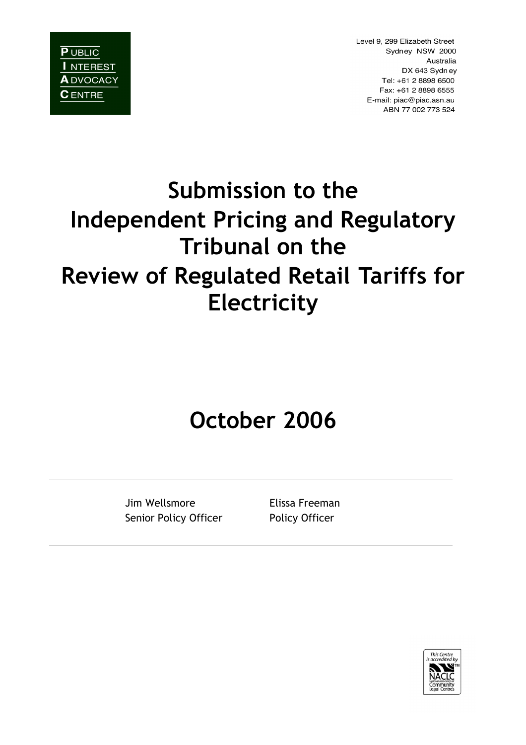

Level 9, 299 Elizabeth Street Sydney NSW 2000 Australia DX 643 Sydney Tel: +61 2 8898 6500 Fax: +61 2 8898 6555 E-mail: piac@piac.asn.au ABN 77 002 773 524

# **Submission to the Independent Pricing and Regulatory Tribunal on the Review of Regulated Retail Tariffs for Electricity**

## **October 2006**

Jim Wellsmore Elissa Freeman Senior Policy Officer Policy Officer

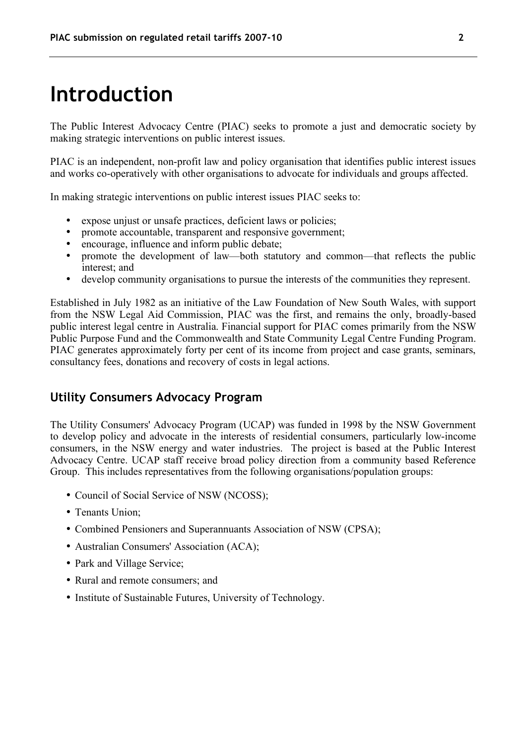#### **Introduction**

The Public Interest Advocacy Centre (PIAC) seeks to promote a just and democratic society by making strategic interventions on public interest issues.

PIAC is an independent, non-profit law and policy organisation that identifies public interest issues and works co-operatively with other organisations to advocate for individuals and groups affected.

In making strategic interventions on public interest issues PIAC seeks to:

- expose unjust or unsafe practices, deficient laws or policies;<br>• promote accountable, transparent and responsive government
- promote accountable, transparent and responsive government;
- encourage, influence and inform public debate;
- promote the development of law—both statutory and common—that reflects the public interest; and
- develop community organisations to pursue the interests of the communities they represent.

Established in July 1982 as an initiative of the Law Foundation of New South Wales, with support from the NSW Legal Aid Commission, PIAC was the first, and remains the only, broadly-based public interest legal centre in Australia. Financial support for PIAC comes primarily from the NSW Public Purpose Fund and the Commonwealth and State Community Legal Centre Funding Program. PIAC generates approximately forty per cent of its income from project and case grants, seminars, consultancy fees, donations and recovery of costs in legal actions.

#### **Utility Consumers Advocacy Program**

The Utility Consumers' Advocacy Program (UCAP) was funded in 1998 by the NSW Government to develop policy and advocate in the interests of residential consumers, particularly low-income consumers, in the NSW energy and water industries. The project is based at the Public Interest Advocacy Centre. UCAP staff receive broad policy direction from a community based Reference Group. This includes representatives from the following organisations/population groups:

- Council of Social Service of NSW (NCOSS);
- Tenants Union:
- Combined Pensioners and Superannuants Association of NSW (CPSA);
- Australian Consumers' Association (ACA);
- Park and Village Service;
- Rural and remote consumers; and
- Institute of Sustainable Futures, University of Technology.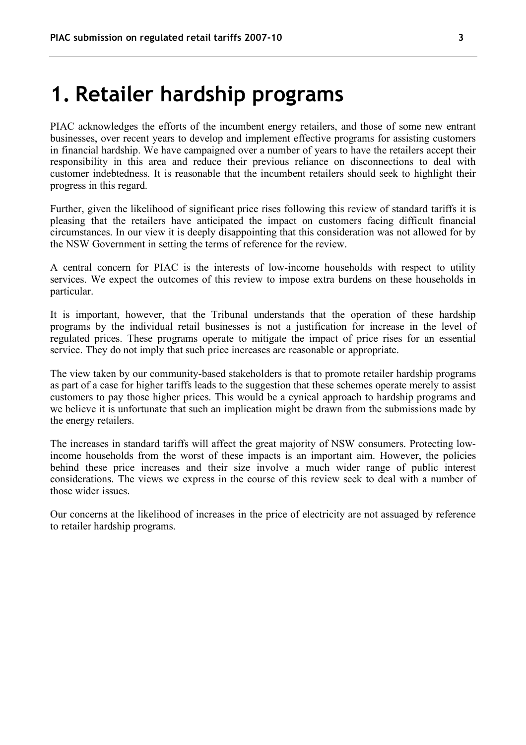#### **1. Retailer hardship programs**

PIAC acknowledges the efforts of the incumbent energy retailers, and those of some new entrant businesses, over recent years to develop and implement effective programs for assisting customers in financial hardship. We have campaigned over a number of years to have the retailers accept their responsibility in this area and reduce their previous reliance on disconnections to deal with customer indebtedness. It is reasonable that the incumbent retailers should seek to highlight their progress in this regard.

Further, given the likelihood of significant price rises following this review of standard tariffs it is pleasing that the retailers have anticipated the impact on customers facing difficult financial circumstances. In our view it is deeply disappointing that this consideration was not allowed for by the NSW Government in setting the terms of reference for the review.

A central concern for PIAC is the interests of low-income households with respect to utility services. We expect the outcomes of this review to impose extra burdens on these households in particular.

It is important, however, that the Tribunal understands that the operation of these hardship programs by the individual retail businesses is not a justification for increase in the level of regulated prices. These programs operate to mitigate the impact of price rises for an essential service. They do not imply that such price increases are reasonable or appropriate.

The view taken by our community-based stakeholders is that to promote retailer hardship programs as part of a case for higher tariffs leads to the suggestion that these schemes operate merely to assist customers to pay those higher prices. This would be a cynical approach to hardship programs and we believe it is unfortunate that such an implication might be drawn from the submissions made by the energy retailers.

The increases in standard tariffs will affect the great majority of NSW consumers. Protecting lowincome households from the worst of these impacts is an important aim. However, the policies behind these price increases and their size involve a much wider range of public interest considerations. The views we express in the course of this review seek to deal with a number of those wider issues.

Our concerns at the likelihood of increases in the price of electricity are not assuaged by reference to retailer hardship programs.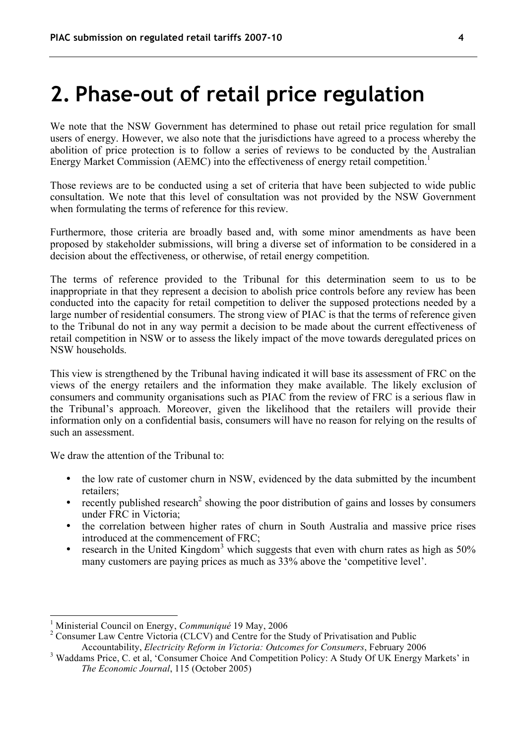#### **2. Phase-out of retail price regulation**

We note that the NSW Government has determined to phase out retail price regulation for small users of energy. However, we also note that the jurisdictions have agreed to a process whereby the abolition of price protection is to follow a series of reviews to be conducted by the Australian Energy Market Commission (AEMC) into the effectiveness of energy retail competition.<sup>1</sup>

Those reviews are to be conducted using a set of criteria that have been subjected to wide public consultation. We note that this level of consultation was not provided by the NSW Government when formulating the terms of reference for this review.

Furthermore, those criteria are broadly based and, with some minor amendments as have been proposed by stakeholder submissions, will bring a diverse set of information to be considered in a decision about the effectiveness, or otherwise, of retail energy competition.

The terms of reference provided to the Tribunal for this determination seem to us to be inappropriate in that they represent a decision to abolish price controls before any review has been conducted into the capacity for retail competition to deliver the supposed protections needed by a large number of residential consumers. The strong view of PIAC is that the terms of reference given to the Tribunal do not in any way permit a decision to be made about the current effectiveness of retail competition in NSW or to assess the likely impact of the move towards deregulated prices on NSW households.

This view is strengthened by the Tribunal having indicated it will base its assessment of FRC on the views of the energy retailers and the information they make available. The likely exclusion of consumers and community organisations such as PIAC from the review of FRC is a serious flaw in the Tribunal's approach. Moreover, given the likelihood that the retailers will provide their information only on a confidential basis, consumers will have no reason for relying on the results of such an assessment.

We draw the attention of the Tribunal to:

- the low rate of customer churn in NSW, evidenced by the data submitted by the incumbent retailers;
- recently published research<sup>2</sup> showing the poor distribution of gains and losses by consumers under FRC in Victoria;
- the correlation between higher rates of churn in South Australia and massive price rises introduced at the commencement of FRC;
- research in the United Kingdom<sup>3</sup> which suggests that even with churn rates as high as  $50\%$ many customers are paying prices as much as 33% above the 'competitive level'.

 <sup>1</sup> Ministerial Council on Energy, *Communiqué* <sup>19</sup> May, <sup>2006</sup>

<sup>&</sup>lt;sup>2</sup> Consumer Law Centre Victoria (CLCV) and Centre for the Study of Privatisation and Public Accountability, *Electricity Reform in Victoria: Outcomes for Consumers*, February 2006

<sup>&</sup>lt;sup>3</sup> Waddams Price, C. et al, 'Consumer Choice And Competition Policy: A Study Of UK Energy Markets' in *The Economic Journal*, 115 (October 2005)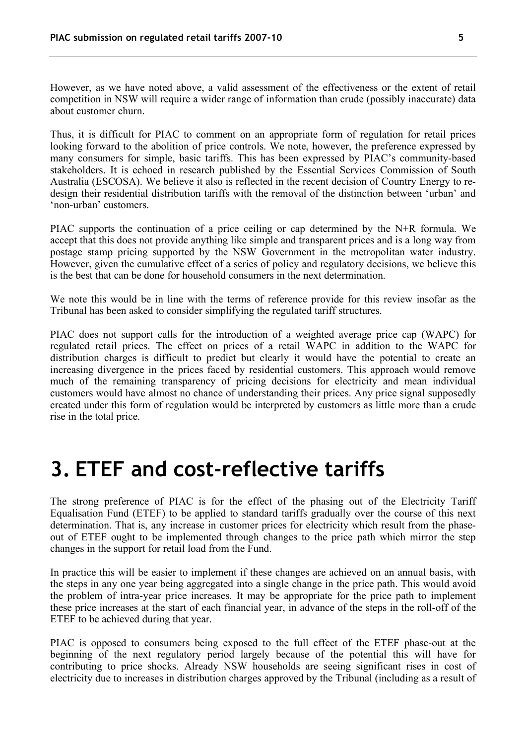However, as we have noted above, a valid assessment of the effectiveness or the extent of retail competition in NSW will require a wider range of information than crude (possibly inaccurate) data about customer churn.

Thus, it is difficult for PIAC to comment on an appropriate form of regulation for retail prices looking forward to the abolition of price controls. We note, however, the preference expressed by many consumers for simple, basic tariffs. This has been expressed by PIAC's community-based stakeholders. It is echoed in research published by the Essential Services Commission of South Australia (ESCOSA). We believe it also is reflected in the recent decision of Country Energy to redesign their residential distribution tariffs with the removal of the distinction between 'urban' and 'non-urban' customers.

PIAC supports the continuation of a price ceiling or cap determined by the N+R formula. We accept that this does not provide anything like simple and transparent prices and is a long way from postage stamp pricing supported by the NSW Government in the metropolitan water industry. However, given the cumulative effect of a series of policy and regulatory decisions, we believe this is the best that can be done for household consumers in the next determination.

We note this would be in line with the terms of reference provide for this review insofar as the Tribunal has been asked to consider simplifying the regulated tariff structures.

PIAC does not support calls for the introduction of a weighted average price cap (WAPC) for regulated retail prices. The effect on prices of a retail WAPC in addition to the WAPC for distribution charges is difficult to predict but clearly it would have the potential to create an increasing divergence in the prices faced by residential customers. This approach would remove much of the remaining transparency of pricing decisions for electricity and mean individual customers would have almost no chance of understanding their prices. Any price signal supposedly created under this form of regulation would be interpreted by customers as little more than a crude rise in the total price.

#### **3. ETEF and cost-reflective tariffs**

The strong preference of PIAC is for the effect of the phasing out of the Electricity Tariff Equalisation Fund (ETEF) to be applied to standard tariffs gradually over the course of this next determination. That is, any increase in customer prices for electricity which result from the phaseout of ETEF ought to be implemented through changes to the price path which mirror the step changes in the support for retail load from the Fund.

In practice this will be easier to implement if these changes are achieved on an annual basis, with the steps in any one year being aggregated into a single change in the price path. This would avoid the problem of intra-year price increases. It may be appropriate for the price path to implement these price increases at the start of each financial year, in advance of the steps in the roll-off of the ETEF to be achieved during that year.

PIAC is opposed to consumers being exposed to the full effect of the ETEF phase-out at the beginning of the next regulatory period largely because of the potential this will have for contributing to price shocks. Already NSW households are seeing significant rises in cost of electricity due to increases in distribution charges approved by the Tribunal (including as a result of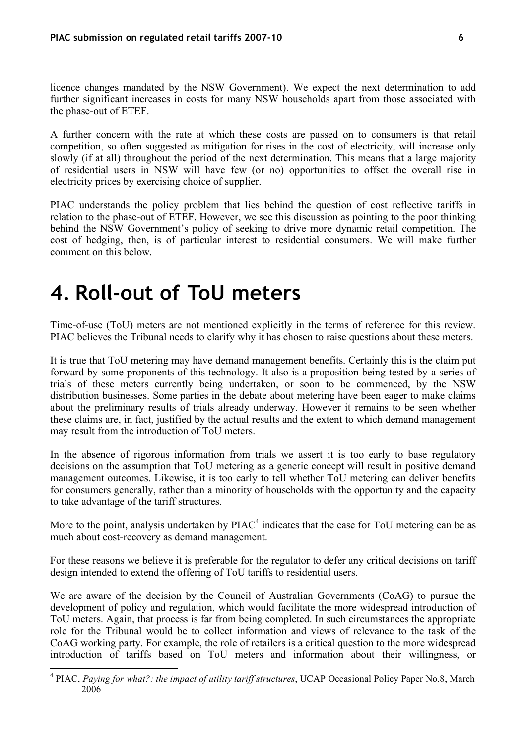licence changes mandated by the NSW Government). We expect the next determination to add further significant increases in costs for many NSW households apart from those associated with the phase-out of ETEF.

A further concern with the rate at which these costs are passed on to consumers is that retail competition, so often suggested as mitigation for rises in the cost of electricity, will increase only slowly (if at all) throughout the period of the next determination. This means that a large majority of residential users in NSW will have few (or no) opportunities to offset the overall rise in electricity prices by exercising choice of supplier.

PIAC understands the policy problem that lies behind the question of cost reflective tariffs in relation to the phase-out of ETEF. However, we see this discussion as pointing to the poor thinking behind the NSW Government's policy of seeking to drive more dynamic retail competition. The cost of hedging, then, is of particular interest to residential consumers. We will make further comment on this below.

#### **4. Roll-out of ToU meters**

Time-of-use (ToU) meters are not mentioned explicitly in the terms of reference for this review. PIAC believes the Tribunal needs to clarify why it has chosen to raise questions about these meters.

It is true that ToU metering may have demand management benefits. Certainly this is the claim put forward by some proponents of this technology. It also is a proposition being tested by a series of trials of these meters currently being undertaken, or soon to be commenced, by the NSW distribution businesses. Some parties in the debate about metering have been eager to make claims about the preliminary results of trials already underway. However it remains to be seen whether these claims are, in fact, justified by the actual results and the extent to which demand management may result from the introduction of ToU meters.

In the absence of rigorous information from trials we assert it is too early to base regulatory decisions on the assumption that ToU metering as a generic concept will result in positive demand management outcomes. Likewise, it is too early to tell whether ToU metering can deliver benefits for consumers generally, rather than a minority of households with the opportunity and the capacity to take advantage of the tariff structures.

More to the point, analysis undertaken by  $\text{PIAC}^4$  indicates that the case for ToU metering can be as much about cost-recovery as demand management.

For these reasons we believe it is preferable for the regulator to defer any critical decisions on tariff design intended to extend the offering of ToU tariffs to residential users.

We are aware of the decision by the Council of Australian Governments (CoAG) to pursue the development of policy and regulation, which would facilitate the more widespread introduction of ToU meters. Again, that process is far from being completed. In such circumstances the appropriate role for the Tribunal would be to collect information and views of relevance to the task of the CoAG working party. For example, the role of retailers is a critical question to the more widespread introduction of tariffs based on ToU meters and information about their willingness, or

 <sup>4</sup> PIAC, *Paying for what?: the impact of utility tariff structures*, UCAP Occasional Policy Paper No.8, March 2006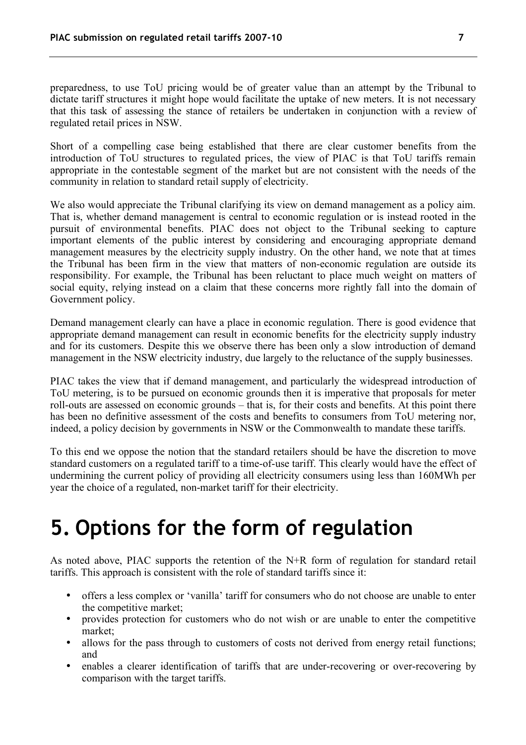preparedness, to use ToU pricing would be of greater value than an attempt by the Tribunal to dictate tariff structures it might hope would facilitate the uptake of new meters. It is not necessary that this task of assessing the stance of retailers be undertaken in conjunction with a review of regulated retail prices in NSW.

Short of a compelling case being established that there are clear customer benefits from the introduction of ToU structures to regulated prices, the view of PIAC is that ToU tariffs remain appropriate in the contestable segment of the market but are not consistent with the needs of the community in relation to standard retail supply of electricity.

We also would appreciate the Tribunal clarifying its view on demand management as a policy aim. That is, whether demand management is central to economic regulation or is instead rooted in the pursuit of environmental benefits. PIAC does not object to the Tribunal seeking to capture important elements of the public interest by considering and encouraging appropriate demand management measures by the electricity supply industry. On the other hand, we note that at times the Tribunal has been firm in the view that matters of non-economic regulation are outside its responsibility. For example, the Tribunal has been reluctant to place much weight on matters of social equity, relying instead on a claim that these concerns more rightly fall into the domain of Government policy.

Demand management clearly can have a place in economic regulation. There is good evidence that appropriate demand management can result in economic benefits for the electricity supply industry and for its customers. Despite this we observe there has been only a slow introduction of demand management in the NSW electricity industry, due largely to the reluctance of the supply businesses.

PIAC takes the view that if demand management, and particularly the widespread introduction of ToU metering, is to be pursued on economic grounds then it is imperative that proposals for meter roll-outs are assessed on economic grounds – that is, for their costs and benefits. At this point there has been no definitive assessment of the costs and benefits to consumers from ToU metering nor, indeed, a policy decision by governments in NSW or the Commonwealth to mandate these tariffs.

To this end we oppose the notion that the standard retailers should be have the discretion to move standard customers on a regulated tariff to a time-of-use tariff. This clearly would have the effect of undermining the current policy of providing all electricity consumers using less than 160MWh per year the choice of a regulated, non-market tariff for their electricity.

## **5. Options for the form of regulation**

As noted above, PIAC supports the retention of the N+R form of regulation for standard retail tariffs. This approach is consistent with the role of standard tariffs since it:

- offers a less complex or 'vanilla' tariff for consumers who do not choose are unable to enter the competitive market;
- provides protection for customers who do not wish or are unable to enter the competitive market;
- allows for the pass through to customers of costs not derived from energy retail functions; and
- enables a clearer identification of tariffs that are under-recovering or over-recovering by comparison with the target tariffs.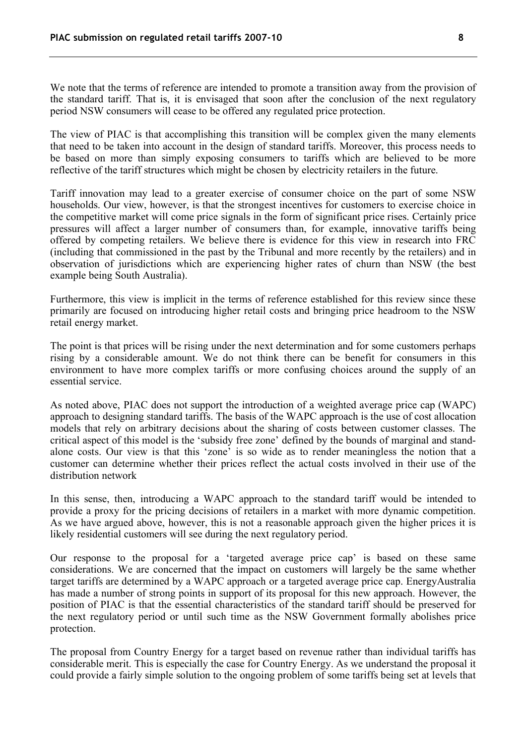We note that the terms of reference are intended to promote a transition away from the provision of the standard tariff. That is, it is envisaged that soon after the conclusion of the next regulatory period NSW consumers will cease to be offered any regulated price protection.

The view of PIAC is that accomplishing this transition will be complex given the many elements that need to be taken into account in the design of standard tariffs. Moreover, this process needs to be based on more than simply exposing consumers to tariffs which are believed to be more reflective of the tariff structures which might be chosen by electricity retailers in the future.

Tariff innovation may lead to a greater exercise of consumer choice on the part of some NSW households. Our view, however, is that the strongest incentives for customers to exercise choice in the competitive market will come price signals in the form of significant price rises. Certainly price pressures will affect a larger number of consumers than, for example, innovative tariffs being offered by competing retailers. We believe there is evidence for this view in research into FRC (including that commissioned in the past by the Tribunal and more recently by the retailers) and in observation of jurisdictions which are experiencing higher rates of churn than NSW (the best example being South Australia).

Furthermore, this view is implicit in the terms of reference established for this review since these primarily are focused on introducing higher retail costs and bringing price headroom to the NSW retail energy market.

The point is that prices will be rising under the next determination and for some customers perhaps rising by a considerable amount. We do not think there can be benefit for consumers in this environment to have more complex tariffs or more confusing choices around the supply of an essential service.

As noted above, PIAC does not support the introduction of a weighted average price cap (WAPC) approach to designing standard tariffs. The basis of the WAPC approach is the use of cost allocation models that rely on arbitrary decisions about the sharing of costs between customer classes. The critical aspect of this model is the 'subsidy free zone' defined by the bounds of marginal and standalone costs. Our view is that this 'zone' is so wide as to render meaningless the notion that a customer can determine whether their prices reflect the actual costs involved in their use of the distribution network

In this sense, then, introducing a WAPC approach to the standard tariff would be intended to provide a proxy for the pricing decisions of retailers in a market with more dynamic competition. As we have argued above, however, this is not a reasonable approach given the higher prices it is likely residential customers will see during the next regulatory period.

Our response to the proposal for a 'targeted average price cap' is based on these same considerations. We are concerned that the impact on customers will largely be the same whether target tariffs are determined by a WAPC approach or a targeted average price cap. EnergyAustralia has made a number of strong points in support of its proposal for this new approach. However, the position of PIAC is that the essential characteristics of the standard tariff should be preserved for the next regulatory period or until such time as the NSW Government formally abolishes price protection.

The proposal from Country Energy for a target based on revenue rather than individual tariffs has considerable merit. This is especially the case for Country Energy. As we understand the proposal it could provide a fairly simple solution to the ongoing problem of some tariffs being set at levels that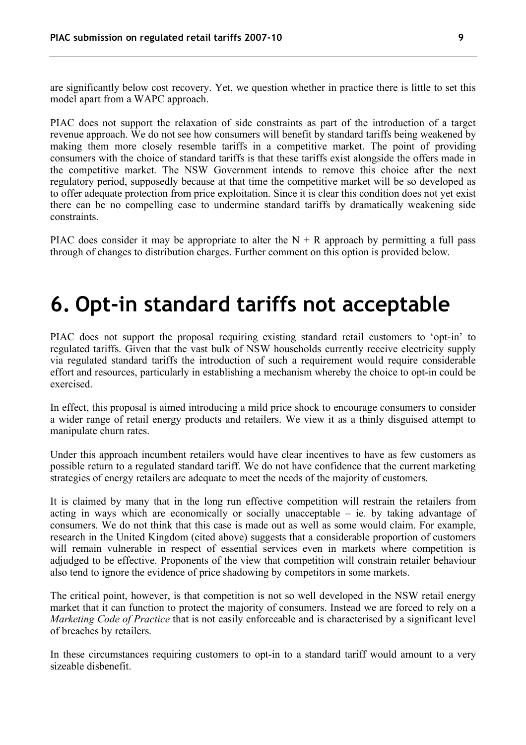are significantly below cost recovery. Yet, we question whether in practice there is little to set this model apart from a WAPC approach.

PIAC does not support the relaxation of side constraints as part of the introduction of a target revenue approach. We do not see how consumers will benefit by standard tariffs being weakened by making them more closely resemble tariffs in a competitive market. The point of providing consumers with the choice of standard tariffs is that these tariffs exist alongside the offers made in the competitive market. The NSW Government intends to remove this choice after the next regulatory period, supposedly because at that time the competitive market will be so developed as to offer adequate protection from price exploitation. Since it is clear this condition does not yet exist there can be no compelling case to undermine standard tariffs by dramatically weakening side constraints.

PIAC does consider it may be appropriate to alter the  $N + R$  approach by permitting a full pass through of changes to distribution charges. Further comment on this option is provided below.

#### **6. Opt-in standard tariffs not acceptable**

PIAC does not support the proposal requiring existing standard retail customers to 'opt-in' to regulated tariffs. Given that the vast bulk of NSW households currently receive electricity supply via regulated standard tariffs the introduction of such a requirement would require considerable effort and resources, particularly in establishing a mechanism whereby the choice to opt-in could be exercised.

In effect, this proposal is aimed introducing a mild price shock to encourage consumers to consider a wider range of retail energy products and retailers. We view it as a thinly disguised attempt to manipulate churn rates.

Under this approach incumbent retailers would have clear incentives to have as few customers as possible return to a regulated standard tariff. We do not have confidence that the current marketing strategies of energy retailers are adequate to meet the needs of the majority of customers.

It is claimed by many that in the long run effective competition will restrain the retailers from acting in ways which are economically or socially unacceptable – ie. by taking advantage of consumers. We do not think that this case is made out as well as some would claim. For example, research in the United Kingdom (cited above) suggests that a considerable proportion of customers will remain vulnerable in respect of essential services even in markets where competition is adjudged to be effective. Proponents of the view that competition will constrain retailer behaviour also tend to ignore the evidence of price shadowing by competitors in some markets.

The critical point, however, is that competition is not so well developed in the NSW retail energy market that it can function to protect the majority of consumers. Instead we are forced to rely on a *Marketing Code of Practice* that is not easily enforceable and is characterised by a significant level of breaches by retailers.

In these circumstances requiring customers to opt-in to a standard tariff would amount to a very sizeable disbenefit.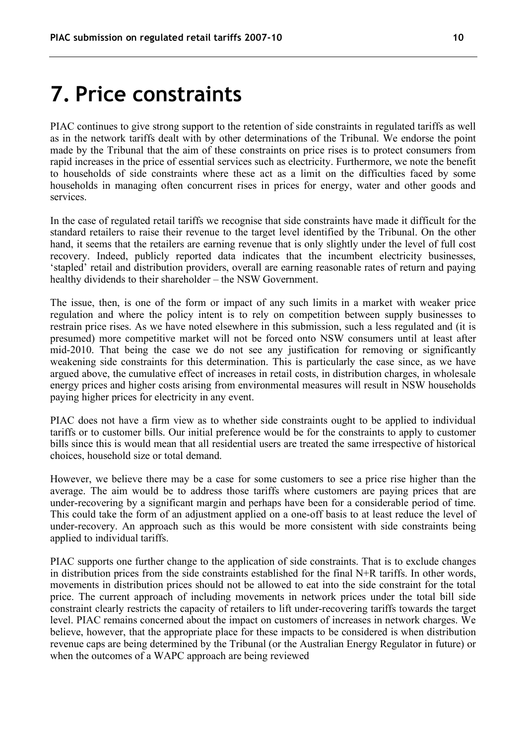#### **7. Price constraints**

PIAC continues to give strong support to the retention of side constraints in regulated tariffs as well as in the network tariffs dealt with by other determinations of the Tribunal. We endorse the point made by the Tribunal that the aim of these constraints on price rises is to protect consumers from rapid increases in the price of essential services such as electricity. Furthermore, we note the benefit to households of side constraints where these act as a limit on the difficulties faced by some households in managing often concurrent rises in prices for energy, water and other goods and services.

In the case of regulated retail tariffs we recognise that side constraints have made it difficult for the standard retailers to raise their revenue to the target level identified by the Tribunal. On the other hand, it seems that the retailers are earning revenue that is only slightly under the level of full cost recovery. Indeed, publicly reported data indicates that the incumbent electricity businesses, 'stapled' retail and distribution providers, overall are earning reasonable rates of return and paying healthy dividends to their shareholder – the NSW Government.

The issue, then, is one of the form or impact of any such limits in a market with weaker price regulation and where the policy intent is to rely on competition between supply businesses to restrain price rises. As we have noted elsewhere in this submission, such a less regulated and (it is presumed) more competitive market will not be forced onto NSW consumers until at least after mid-2010. That being the case we do not see any justification for removing or significantly weakening side constraints for this determination. This is particularly the case since, as we have argued above, the cumulative effect of increases in retail costs, in distribution charges, in wholesale energy prices and higher costs arising from environmental measures will result in NSW households paying higher prices for electricity in any event.

PIAC does not have a firm view as to whether side constraints ought to be applied to individual tariffs or to customer bills. Our initial preference would be for the constraints to apply to customer bills since this is would mean that all residential users are treated the same irrespective of historical choices, household size or total demand.

However, we believe there may be a case for some customers to see a price rise higher than the average. The aim would be to address those tariffs where customers are paying prices that are under-recovering by a significant margin and perhaps have been for a considerable period of time. This could take the form of an adjustment applied on a one-off basis to at least reduce the level of under-recovery. An approach such as this would be more consistent with side constraints being applied to individual tariffs.

PIAC supports one further change to the application of side constraints. That is to exclude changes in distribution prices from the side constraints established for the final  $N+R$  tariffs. In other words, movements in distribution prices should not be allowed to eat into the side constraint for the total price. The current approach of including movements in network prices under the total bill side constraint clearly restricts the capacity of retailers to lift under-recovering tariffs towards the target level. PIAC remains concerned about the impact on customers of increases in network charges. We believe, however, that the appropriate place for these impacts to be considered is when distribution revenue caps are being determined by the Tribunal (or the Australian Energy Regulator in future) or when the outcomes of a WAPC approach are being reviewed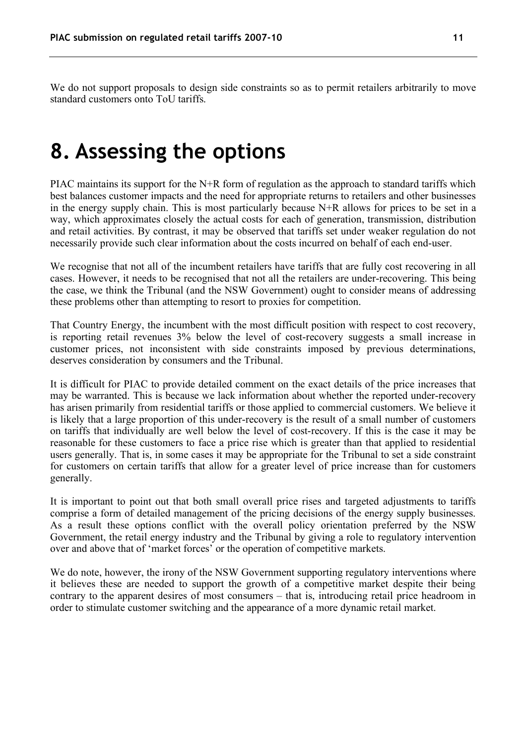We do not support proposals to design side constraints so as to permit retailers arbitrarily to move standard customers onto ToU tariffs.

#### **8. Assessing the options**

PIAC maintains its support for the N+R form of regulation as the approach to standard tariffs which best balances customer impacts and the need for appropriate returns to retailers and other businesses in the energy supply chain. This is most particularly because N+R allows for prices to be set in a way, which approximates closely the actual costs for each of generation, transmission, distribution and retail activities. By contrast, it may be observed that tariffs set under weaker regulation do not necessarily provide such clear information about the costs incurred on behalf of each end-user.

We recognise that not all of the incumbent retailers have tariffs that are fully cost recovering in all cases. However, it needs to be recognised that not all the retailers are under-recovering. This being the case, we think the Tribunal (and the NSW Government) ought to consider means of addressing these problems other than attempting to resort to proxies for competition.

That Country Energy, the incumbent with the most difficult position with respect to cost recovery, is reporting retail revenues 3% below the level of cost-recovery suggests a small increase in customer prices, not inconsistent with side constraints imposed by previous determinations, deserves consideration by consumers and the Tribunal.

It is difficult for PIAC to provide detailed comment on the exact details of the price increases that may be warranted. This is because we lack information about whether the reported under-recovery has arisen primarily from residential tariffs or those applied to commercial customers. We believe it is likely that a large proportion of this under-recovery is the result of a small number of customers on tariffs that individually are well below the level of cost-recovery. If this is the case it may be reasonable for these customers to face a price rise which is greater than that applied to residential users generally. That is, in some cases it may be appropriate for the Tribunal to set a side constraint for customers on certain tariffs that allow for a greater level of price increase than for customers generally.

It is important to point out that both small overall price rises and targeted adjustments to tariffs comprise a form of detailed management of the pricing decisions of the energy supply businesses. As a result these options conflict with the overall policy orientation preferred by the NSW Government, the retail energy industry and the Tribunal by giving a role to regulatory intervention over and above that of 'market forces' or the operation of competitive markets.

We do note, however, the irony of the NSW Government supporting regulatory interventions where it believes these are needed to support the growth of a competitive market despite their being contrary to the apparent desires of most consumers – that is, introducing retail price headroom in order to stimulate customer switching and the appearance of a more dynamic retail market.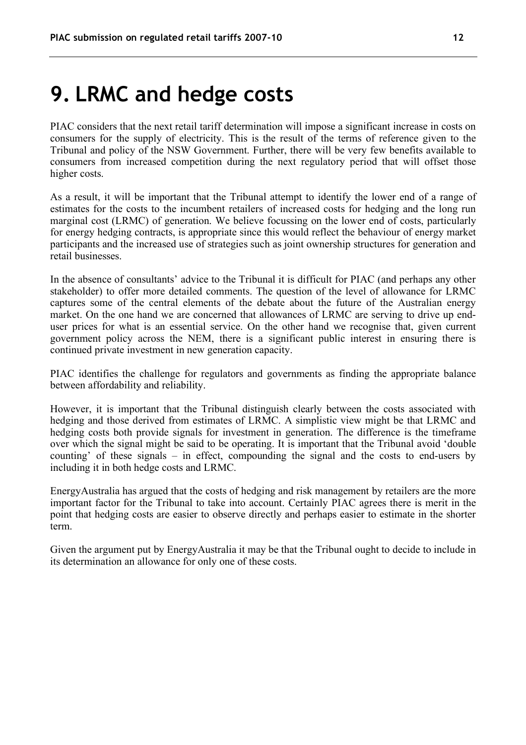#### **9. LRMC and hedge costs**

PIAC considers that the next retail tariff determination will impose a significant increase in costs on consumers for the supply of electricity. This is the result of the terms of reference given to the Tribunal and policy of the NSW Government. Further, there will be very few benefits available to consumers from increased competition during the next regulatory period that will offset those higher costs.

As a result, it will be important that the Tribunal attempt to identify the lower end of a range of estimates for the costs to the incumbent retailers of increased costs for hedging and the long run marginal cost (LRMC) of generation. We believe focussing on the lower end of costs, particularly for energy hedging contracts, is appropriate since this would reflect the behaviour of energy market participants and the increased use of strategies such as joint ownership structures for generation and retail businesses.

In the absence of consultants' advice to the Tribunal it is difficult for PIAC (and perhaps any other stakeholder) to offer more detailed comments. The question of the level of allowance for LRMC captures some of the central elements of the debate about the future of the Australian energy market. On the one hand we are concerned that allowances of LRMC are serving to drive up enduser prices for what is an essential service. On the other hand we recognise that, given current government policy across the NEM, there is a significant public interest in ensuring there is continued private investment in new generation capacity.

PIAC identifies the challenge for regulators and governments as finding the appropriate balance between affordability and reliability.

However, it is important that the Tribunal distinguish clearly between the costs associated with hedging and those derived from estimates of LRMC. A simplistic view might be that LRMC and hedging costs both provide signals for investment in generation. The difference is the timeframe over which the signal might be said to be operating. It is important that the Tribunal avoid 'double counting' of these signals – in effect, compounding the signal and the costs to end-users by including it in both hedge costs and LRMC.

EnergyAustralia has argued that the costs of hedging and risk management by retailers are the more important factor for the Tribunal to take into account. Certainly PIAC agrees there is merit in the point that hedging costs are easier to observe directly and perhaps easier to estimate in the shorter term.

Given the argument put by EnergyAustralia it may be that the Tribunal ought to decide to include in its determination an allowance for only one of these costs.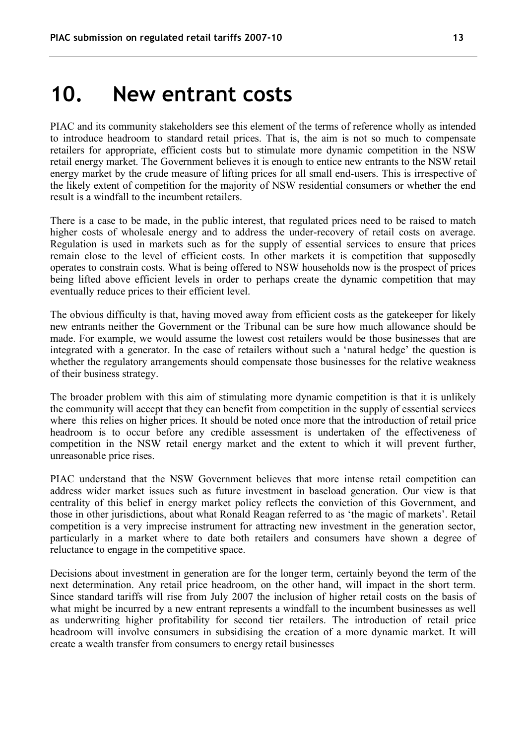#### **10. New entrant costs**

PIAC and its community stakeholders see this element of the terms of reference wholly as intended to introduce headroom to standard retail prices. That is, the aim is not so much to compensate retailers for appropriate, efficient costs but to stimulate more dynamic competition in the NSW retail energy market. The Government believes it is enough to entice new entrants to the NSW retail energy market by the crude measure of lifting prices for all small end-users. This is irrespective of the likely extent of competition for the majority of NSW residential consumers or whether the end result is a windfall to the incumbent retailers.

There is a case to be made, in the public interest, that regulated prices need to be raised to match higher costs of wholesale energy and to address the under-recovery of retail costs on average. Regulation is used in markets such as for the supply of essential services to ensure that prices remain close to the level of efficient costs. In other markets it is competition that supposedly operates to constrain costs. What is being offered to NSW households now is the prospect of prices being lifted above efficient levels in order to perhaps create the dynamic competition that may eventually reduce prices to their efficient level.

The obvious difficulty is that, having moved away from efficient costs as the gatekeeper for likely new entrants neither the Government or the Tribunal can be sure how much allowance should be made. For example, we would assume the lowest cost retailers would be those businesses that are integrated with a generator. In the case of retailers without such a 'natural hedge' the question is whether the regulatory arrangements should compensate those businesses for the relative weakness of their business strategy.

The broader problem with this aim of stimulating more dynamic competition is that it is unlikely the community will accept that they can benefit from competition in the supply of essential services where this relies on higher prices. It should be noted once more that the introduction of retail price headroom is to occur before any credible assessment is undertaken of the effectiveness of competition in the NSW retail energy market and the extent to which it will prevent further, unreasonable price rises.

PIAC understand that the NSW Government believes that more intense retail competition can address wider market issues such as future investment in baseload generation. Our view is that centrality of this belief in energy market policy reflects the conviction of this Government, and those in other jurisdictions, about what Ronald Reagan referred to as 'the magic of markets'. Retail competition is a very imprecise instrument for attracting new investment in the generation sector, particularly in a market where to date both retailers and consumers have shown a degree of reluctance to engage in the competitive space.

Decisions about investment in generation are for the longer term, certainly beyond the term of the next determination. Any retail price headroom, on the other hand, will impact in the short term. Since standard tariffs will rise from July 2007 the inclusion of higher retail costs on the basis of what might be incurred by a new entrant represents a windfall to the incumbent businesses as well as underwriting higher profitability for second tier retailers. The introduction of retail price headroom will involve consumers in subsidising the creation of a more dynamic market. It will create a wealth transfer from consumers to energy retail businesses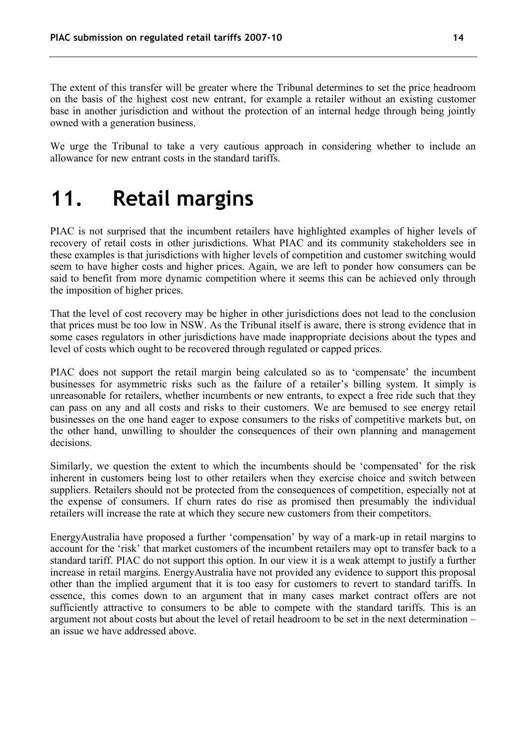The extent of this transfer will be greater where the Tribunal determines to set the price headroom on the basis of the highest cost new entrant, for example a retailer without an existing customer base in another jurisdiction and without the protection of an internal hedge through being jointly owned with a generation business.

We urge the Tribunal to take a very cautious approach in considering whether to include an allowance for new entrant costs in the standard tariffs.

#### **11. Retail margins**

PIAC is not surprised that the incumbent retailers have highlighted examples of higher levels of recovery of retail costs in other jurisdictions. What PIAC and its community stakeholders see in these examples is that jurisdictions with higher levels of competition and customer switching would seem to have higher costs and higher prices. Again, we are left to ponder how consumers can be said to benefit from more dynamic competition where it seems this can be achieved only through the imposition of higher prices.

That the level of cost recovery may be higher in other jurisdictions does not lead to the conclusion that prices must be too low in NSW. As the Tribunal itself is aware, there is strong evidence that in some cases regulators in other jurisdictions have made inappropriate decisions about the types and level of costs which ought to be recovered through regulated or capped prices.

PIAC does not support the retail margin being calculated so as to 'compensate' the incumbent businesses for asymmetric risks such as the failure of a retailer's billing system. It simply is unreasonable for retailers, whether incumbents or new entrants, to expect a free ride such that they can pass on any and all costs and risks to their customers. We are bemused to see energy retail businesses on the one hand eager to expose consumers to the risks of competitive markets but, on the other hand, unwilling to shoulder the consequences of their own planning and management decisions.

Similarly, we question the extent to which the incumbents should be 'compensated' for the risk inherent in customers being lost to other retailers when they exercise choice and switch between suppliers. Retailers should not be protected from the consequences of competition, especially not at the expense of consumers. If churn rates do rise as promised then presumably the individual retailers will increase the rate at which they secure new customers from their competitors.

EnergyAustralia have proposed a further 'compensation' by way of a mark-up in retail margins to account for the 'risk' that market customers of the incumbent retailers may opt to transfer back to a standard tariff. PIAC do not support this option. In our view it is a weak attempt to justify a further increase in retail margins. EnergyAustralia have not provided any evidence to support this proposal other than the implied argument that it is too easy for customers to revert to standard tariffs. In essence, this comes down to an argument that in many cases market contract offers are not sufficiently attractive to consumers to be able to compete with the standard tariffs. This is an argument not about costs but about the level of retail headroom to be set in the next determination – an issue we have addressed above.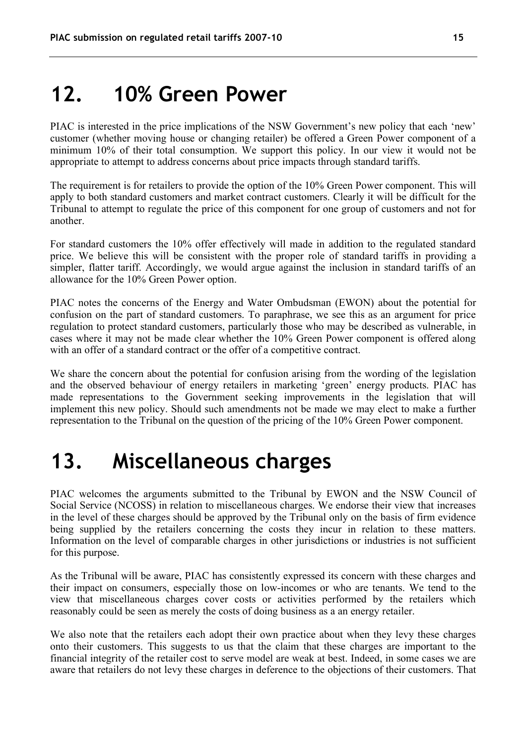### **12. 10% Green Power**

PIAC is interested in the price implications of the NSW Government's new policy that each 'new' customer (whether moving house or changing retailer) be offered a Green Power component of a minimum 10% of their total consumption. We support this policy. In our view it would not be appropriate to attempt to address concerns about price impacts through standard tariffs.

The requirement is for retailers to provide the option of the 10% Green Power component. This will apply to both standard customers and market contract customers. Clearly it will be difficult for the Tribunal to attempt to regulate the price of this component for one group of customers and not for another.

For standard customers the 10% offer effectively will made in addition to the regulated standard price. We believe this will be consistent with the proper role of standard tariffs in providing a simpler, flatter tariff. Accordingly, we would argue against the inclusion in standard tariffs of an allowance for the 10% Green Power option.

PIAC notes the concerns of the Energy and Water Ombudsman (EWON) about the potential for confusion on the part of standard customers. To paraphrase, we see this as an argument for price regulation to protect standard customers, particularly those who may be described as vulnerable, in cases where it may not be made clear whether the 10% Green Power component is offered along with an offer of a standard contract or the offer of a competitive contract.

We share the concern about the potential for confusion arising from the wording of the legislation and the observed behaviour of energy retailers in marketing 'green' energy products. PIAC has made representations to the Government seeking improvements in the legislation that will implement this new policy. Should such amendments not be made we may elect to make a further representation to the Tribunal on the question of the pricing of the 10% Green Power component.

#### **13. Miscellaneous charges**

PIAC welcomes the arguments submitted to the Tribunal by EWON and the NSW Council of Social Service (NCOSS) in relation to miscellaneous charges. We endorse their view that increases in the level of these charges should be approved by the Tribunal only on the basis of firm evidence being supplied by the retailers concerning the costs they incur in relation to these matters. Information on the level of comparable charges in other jurisdictions or industries is not sufficient for this purpose.

As the Tribunal will be aware, PIAC has consistently expressed its concern with these charges and their impact on consumers, especially those on low-incomes or who are tenants. We tend to the view that miscellaneous charges cover costs or activities performed by the retailers which reasonably could be seen as merely the costs of doing business as a an energy retailer.

We also note that the retailers each adopt their own practice about when they levy these charges onto their customers. This suggests to us that the claim that these charges are important to the financial integrity of the retailer cost to serve model are weak at best. Indeed, in some cases we are aware that retailers do not levy these charges in deference to the objections of their customers. That